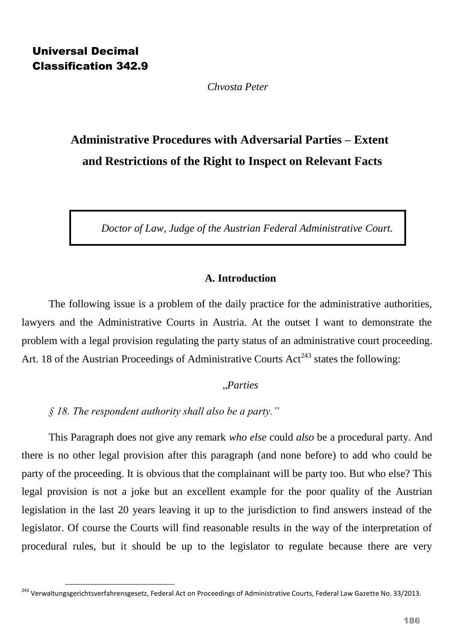**.** 

*Chvosta Peter*

# **Administrative Procedures with Adversarial Parties – Extent and Restrictions of the Right to Inspect on Relevant Facts**

*Doctor of Law, Judge of the Austrian Federal Administrative Court.*

# **A. Introduction**

The following issue is a problem of the daily practice for the administrative authorities, lawyers and the Administrative Courts in Austria. At the outset I want to demonstrate the problem with a legal provision regulating the party status of an administrative court proceeding. Art. 18 of the Austrian Proceedings of Administrative Courts  $Act^{243}$  states the following:

### "*Parties*

*§ 18. The respondent authority shall also be a party."*

This Paragraph does not give any remark *who else* could *also* be a procedural party. And there is no other legal provision after this paragraph (and none before) to add who could be party of the proceeding. It is obvious that the complainant will be party too. But who else? This legal provision is not a joke but an excellent example for the poor quality of the Austrian legislation in the last 20 years leaving it up to the jurisdiction to find answers instead of the legislator. Of course the Courts will find reasonable results in the way of the interpretation of procedural rules, but it should be up to the legislator to regulate because there are very

<sup>&</sup>lt;sup>243</sup> Verwaltungsgerichtsverfahrensgesetz, Federal Act on Proceedings of Administrative Courts, Federal Law Gazette No. 33/2013.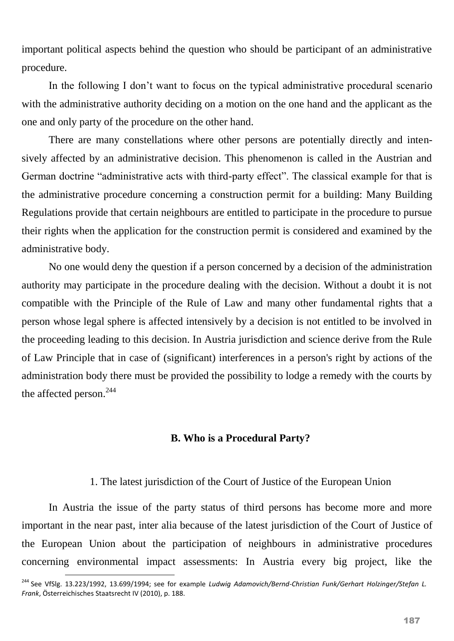important political aspects behind the question who should be participant of an administrative procedure.

In the following I don't want to focus on the typical administrative procedural scenario with the administrative authority deciding on a motion on the one hand and the applicant as the one and only party of the procedure on the other hand.

There are many constellations where other persons are potentially directly and intensively affected by an administrative decision. This phenomenon is called in the Austrian and German doctrine "administrative acts with third-party effect". The classical example for that is the administrative procedure concerning a construction permit for a building: Many Building Regulations provide that certain neighbours are entitled to participate in the procedure to pursue their rights when the application for the construction permit is considered and examined by the administrative body.

No one would deny the question if a person concerned by a decision of the administration authority may participate in the procedure dealing with the decision. Without a doubt it is not compatible with the Principle of the Rule of Law and many other fundamental rights that a person whose legal sphere is affected intensively by a decision is not entitled to be involved in the proceeding leading to this decision. In Austria jurisdiction and science derive from the Rule of Law Principle that in case of (significant) interferences in a person's right by actions of the administration body there must be provided the possibility to lodge a remedy with the courts by the affected person.<sup>244</sup>

#### **B. Who is a Procedural Party?**

#### 1. The latest jurisdiction of the Court of Justice of the European Union

In Austria the issue of the party status of third persons has become more and more important in the near past, inter alia because of the latest jurisdiction of the Court of Justice of the European Union about the participation of neighbours in administrative procedures concerning environmental impact assessments: In Austria every big project, like the

**.** 

<sup>244</sup> See VfSlg. 13.223/1992, 13.699/1994; see for example *Ludwig Adamovich/Bernd-Christian Funk/Gerhart Holzinger/Stefan L. Frank*, Österreichisches Staatsrecht IV (2010), p. 188.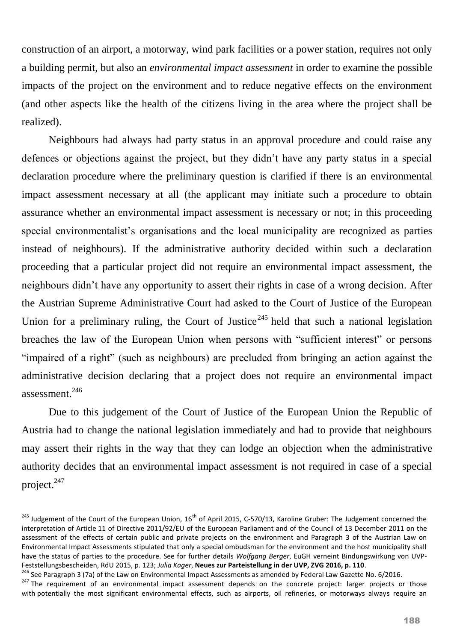construction of an airport, a motorway, wind park facilities or a power station, requires not only a building permit, but also an *environmental impact assessment* in order to examine the possible impacts of the project on the environment and to reduce negative effects on the environment (and other aspects like the health of the citizens living in the area where the project shall be realized).

Neighbours had always had party status in an approval procedure and could raise any defences or objections against the project, but they didn't have any party status in a special declaration procedure where the preliminary question is clarified if there is an environmental impact assessment necessary at all (the applicant may initiate such a procedure to obtain assurance whether an environmental impact assessment is necessary or not; in this proceeding special environmentalist's organisations and the local municipality are recognized as parties instead of neighbours). If the administrative authority decided within such a declaration proceeding that a particular project did not require an environmental impact assessment, the neighbours didn't have any opportunity to assert their rights in case of a wrong decision. After the Austrian Supreme Administrative Court had asked to the Court of Justice of the European Union for a preliminary ruling, the Court of Justice<sup>245</sup> held that such a national legislation breaches the law of the European Union when persons with "sufficient interest" or persons "impaired of a right" (such as neighbours) are precluded from bringing an action against the administrative decision declaring that a project does not require an environmental impact assessment.<sup>246</sup>

Due to this judgement of the Court of Justice of the European Union the Republic of Austria had to change the national legislation immediately and had to provide that neighbours may assert their rights in the way that they can lodge an objection when the administrative authority decides that an environmental impact assessment is not required in case of a special project.<sup>247</sup>

1

<sup>&</sup>lt;sup>245</sup> Judgement of the Court of the European Union, 16<sup>th</sup> of April 2015, C-570/13, Karoline Gruber: The Judgement concerned the interpretation of Article 11 of Directive 2011/92/EU of the European Parliament and of the Council of 13 December 2011 on the assessment of the effects of certain public and private projects on the environment and Paragraph 3 of the Austrian Law on Environmental Impact Assessments stipulated that only a special ombudsman for the environment and the host municipality shall have the status of parties to the procedure. See for further details *Wolfgang Berger*, EuGH verneint Bindungswirkung von UVP-Feststellungsbescheiden, RdU 2015, p. 123; *Julia Kager*, **Neues zur Parteistellung in der UVP, ZVG 2016, p. 110**.

<sup>&</sup>lt;sup>246</sup> See Paragraph 3 (7a) of the Law on Environmental Impact Assessments as amended by Federal Law Gazette No. 6/2016. <sup>247</sup> The requirement of an environmental impact assessment depends on the concrete project: larger projects or those with potentially the most significant environmental effects, such as airports, oil refineries, or motorways always require an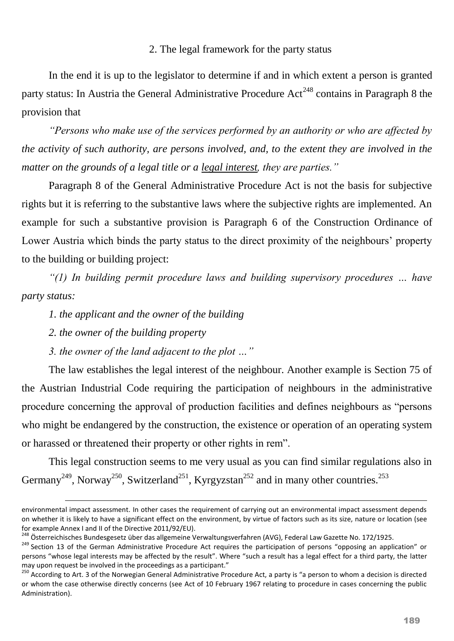## 2. The legal framework for the party status

In the end it is up to the legislator to determine if and in which extent a person is granted party status: In Austria the General Administrative Procedure  $Act<sup>248</sup>$  contains in Paragraph 8 the provision that

*"Persons who make use of the services performed by an authority or who are affected by the activity of such authority, are persons involved, and, to the extent they are involved in the matter on the grounds of a legal title or a legal interest, they are parties."*

Paragraph 8 of the General Administrative Procedure Act is not the basis for subjective rights but it is referring to the substantive laws where the subjective rights are implemented. An example for such a substantive provision is Paragraph 6 of the Construction Ordinance of Lower Austria which binds the party status to the direct proximity of the neighbours' property to the building or building project:

*"(1) In building permit procedure laws and building supervisory procedures … have party status:*

*1. the applicant and the owner of the building*

*2. the owner of the building property*

 $\overline{\phantom{a}}$ 

*3. the owner of the land adjacent to the plot …"*

The law establishes the legal interest of the neighbour. Another example is Section 75 of the Austrian Industrial Code requiring the participation of neighbours in the administrative procedure concerning the approval of production facilities and defines neighbours as "persons who might be endangered by the construction, the existence or operation of an operating system or harassed or threatened their property or other rights in rem".

This legal construction seems to me very usual as you can find similar regulations also in Germany<sup>249</sup>, Norway<sup>250</sup>, Switzerland<sup>251</sup>, Kyrgyzstan<sup>252</sup> and in many other countries.<sup>253</sup>

environmental impact assessment. In other cases the requirement of carrying out an environmental impact assessment depends on whether it is likely to have a significant effect on the environment, by virtue of factors such as its size, nature or location (see for example Annex I and II of the Directive 2011/92/EU).

<sup>&</sup>lt;sup>248</sup> Österreichisches Bundesgesetz über das allgemeine Verwaltungsverfahren (AVG), Federal Law Gazette No. 172/1925.

<sup>&</sup>lt;sup>249</sup> Section 13 of the German Administrative Procedure Act requires the participation of persons "opposing an application" or persons "whose legal interests may be affected by the result". Where "such a result has a legal effect for a third party, the latter may upon request be involved in the proceedings as a participant."

<sup>&</sup>lt;sup>250</sup> According to Art. 3 of the Norwegian General Administrative Procedure Act, a party is "a person to whom a decision is directed or whom the case otherwise directly concerns (see Act of 10 February 1967 relating to procedure in cases concerning the public Administration).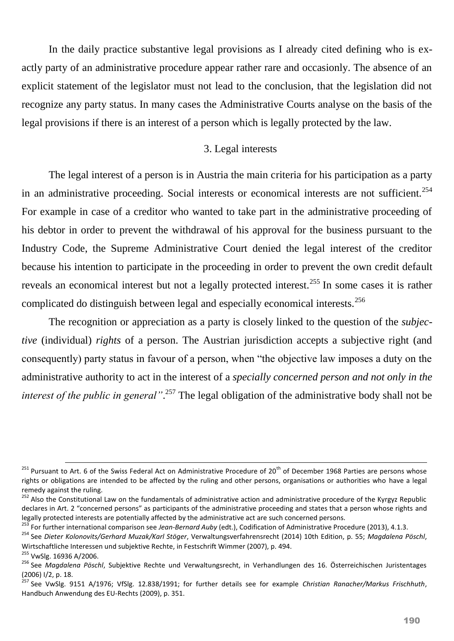In the daily practice substantive legal provisions as I already cited defining who is exactly party of an administrative procedure appear rather rare and occasionly. The absence of an explicit statement of the legislator must not lead to the conclusion, that the legislation did not recognize any party status. In many cases the Administrative Courts analyse on the basis of the legal provisions if there is an interest of a person which is legally protected by the law.

#### 3. Legal interests

The legal interest of a person is in Austria the main criteria for his participation as a party in an administrative proceeding. Social interests or economical interests are not sufficient.<sup>254</sup> For example in case of a creditor who wanted to take part in the administrative proceeding of his debtor in order to prevent the withdrawal of his approval for the business pursuant to the Industry Code, the Supreme Administrative Court denied the legal interest of the creditor because his intention to participate in the proceeding in order to prevent the own credit default reveals an economical interest but not a legally protected interest.<sup>255</sup> In some cases it is rather complicated do distinguish between legal and especially economical interests.<sup>256</sup>

The recognition or appreciation as a party is closely linked to the question of the *subjective* (individual) *rights* of a person. The Austrian jurisdiction accepts a subjective right (and consequently) party status in favour of a person, when "the objective law imposes a duty on the administrative authority to act in the interest of a *specially concerned person and not only in the interest of the public in general"*. <sup>257</sup> The legal obligation of the administrative body shall not be

1

<sup>&</sup>lt;sup>251</sup> Pursuant to Art. 6 of the Swiss Federal Act on Administrative Procedure of 20<sup>th</sup> of December 1968 Parties are persons whose rights or obligations are intended to be affected by the ruling and other persons, organisations or authorities who have a legal remedy against the ruling.

<sup>&</sup>lt;sup>252</sup> Also the Constitutional Law on the fundamentals of administrative action and administrative procedure of the Kyrgyz Republic declares in Art. 2 "concerned persons" as participants of the administrative proceeding and states that a person whose rights and legally protected interests are potentially affected by the administrative act are such concerned persons.

<sup>253</sup> For further international comparison see *Jean-Bernard Auby* (edt.), Codification of Administrative Procedure (2013), 4.1.3.

<sup>254</sup> See *Dieter Kolonovits/Gerhard Muzak/Karl Stöger*, Verwaltungsverfahrensrecht (2014) 10th Edition, p. 55; *Magdalena Pöschl*, Wirtschaftliche Interessen und subjektive Rechte, in Festschrift Wimmer (2007), p. 494.

<sup>255</sup> VwSlg. 16936 A/2006.

<sup>256</sup> See *Magdalena Pöschl*, Subjektive Rechte und Verwaltungsrecht, in Verhandlungen des 16. Österreichischen Juristentages (2006) I/2, p. 18.

<sup>257</sup> See VwSlg. 9151 A/1976; VfSlg. 12.838/1991; for further details see for example *Christian Ranacher/Markus Frischhuth*, Handbuch Anwendung des EU-Rechts (2009), p. 351.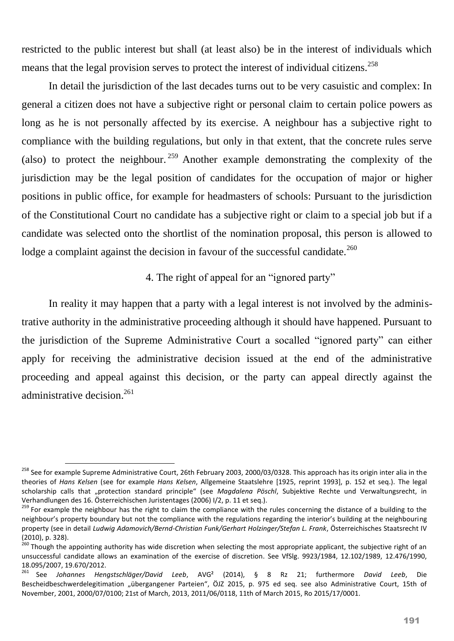restricted to the public interest but shall (at least also) be in the interest of individuals which means that the legal provision serves to protect the interest of individual citizens.<sup>258</sup>

In detail the jurisdiction of the last decades turns out to be very casuistic and complex: In general a citizen does not have a subjective right or personal claim to certain police powers as long as he is not personally affected by its exercise. A neighbour has a subjective right to compliance with the building regulations, but only in that extent, that the concrete rules serve (also) to protect the neighbour. <sup>259</sup> Another example demonstrating the complexity of the jurisdiction may be the legal position of candidates for the occupation of major or higher positions in public office, for example for headmasters of schools: Pursuant to the jurisdiction of the Constitutional Court no candidate has a subjective right or claim to a special job but if a candidate was selected onto the shortlist of the nomination proposal, this person is allowed to lodge a complaint against the decision in favour of the successful candidate.<sup>260</sup>

# 4. The right of appeal for an "ignored party"

In reality it may happen that a party with a legal interest is not involved by the administrative authority in the administrative proceeding although it should have happened. Pursuant to the jurisdiction of the Supreme Administrative Court a socalled "ignored party" can either apply for receiving the administrative decision issued at the end of the administrative proceeding and appeal against this decision, or the party can appeal directly against the administrative decision. 261

1

<sup>&</sup>lt;sup>258</sup> See for example Supreme Administrative Court, 26th February 2003, 2000/03/0328. This approach has its origin inter alia in the theories of *Hans Kelsen* (see for example *Hans Kelsen*, Allgemeine Staatslehre [1925, reprint 1993], p. 152 et seq.). The legal scholarship calls that "protection standard principle" (see *Magdalena Pöschl*, Subjektive Rechte und Verwaltungsrecht, in Verhandlungen des 16. Österreichischen Juristentages (2006) I/2, p. 11 et seq.).

<sup>&</sup>lt;sup>259</sup> For example the neighbour has the right to claim the compliance with the rules concerning the distance of a building to the neighbour's property boundary but not the compliance with the regulations regarding the interior's building at the neighbouring property (see in detail *Ludwig Adamovich/Bernd-Christian Funk/Gerhart Holzinger/Stefan L. Frank*, Österreichisches Staatsrecht IV (2010), p. 328).

<sup>&</sup>lt;sup>260</sup> Though the appointing authority has wide discretion when selecting the most appropriate applicant, the subjective right of an unsuccessful candidate allows an examination of the exercise of discretion. See VfSlg. 9923/1984, 12.102/1989, 12.476/1990, 18.095/2007, 19.670/2012.

<sup>261</sup> See *Johannes Hengstschläger/David Leeb*, AVG² (2014), § 8 Rz 21; furthermore *David Leeb*, Die Bescheidbeschwerdelegitimation "übergangener Parteien", ÖJZ 2015, p. 975 ed seq. see also Administrative Court, 15th of November, 2001, 2000/07/0100; 21st of March, 2013, 2011/06/0118, 11th of March 2015, Ro 2015/17/0001.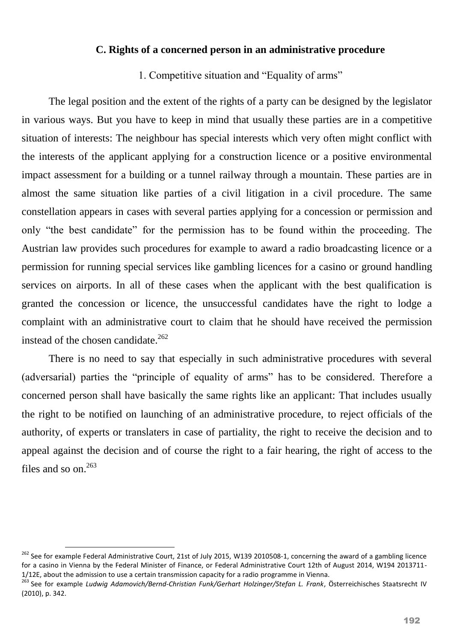#### **C. Rights of a concerned person in an administrative procedure**

1. Competitive situation and "Equality of arms"

The legal position and the extent of the rights of a party can be designed by the legislator in various ways. But you have to keep in mind that usually these parties are in a competitive situation of interests: The neighbour has special interests which very often might conflict with the interests of the applicant applying for a construction licence or a positive environmental impact assessment for a building or a tunnel railway through a mountain. These parties are in almost the same situation like parties of a civil litigation in a civil procedure. The same constellation appears in cases with several parties applying for a concession or permission and only "the best candidate" for the permission has to be found within the proceeding. The Austrian law provides such procedures for example to award a radio broadcasting licence or a permission for running special services like gambling licences for a casino or ground handling services on airports. In all of these cases when the applicant with the best qualification is granted the concession or licence, the unsuccessful candidates have the right to lodge a complaint with an administrative court to claim that he should have received the permission instead of the chosen candidate.<sup>262</sup>

There is no need to say that especially in such administrative procedures with several (adversarial) parties the "principle of equality of arms" has to be considered. Therefore a concerned person shall have basically the same rights like an applicant: That includes usually the right to be notified on launching of an administrative procedure, to reject officials of the authority, of experts or translaters in case of partiality, the right to receive the decision and to appeal against the decision and of course the right to a fair hearing, the right of access to the files and so on.<sup>263</sup>

 $\overline{\phantom{a}}$ 

<sup>&</sup>lt;sup>262</sup> See for example Federal Administrative Court, 21st of July 2015, W139 2010508-1, concerning the award of a gambling licence for a casino in Vienna by the Federal Minister of Finance, or Federal Administrative Court 12th of August 2014, W194 2013711- 1/12E, about the admission to use a certain transmission capacity for a radio programme in Vienna.

<sup>263</sup> See for example *Ludwig Adamovich/Bernd-Christian Funk/Gerhart Holzinger/Stefan L. Frank*, Österreichisches Staatsrecht IV (2010), p. 342.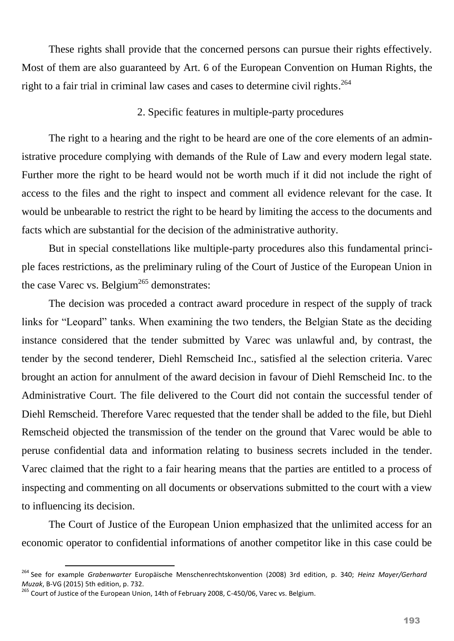These rights shall provide that the concerned persons can pursue their rights effectively. Most of them are also guaranteed by Art. 6 of the European Convention on Human Rights, the right to a fair trial in criminal law cases and cases to determine civil rights. 264

## 2. Specific features in multiple-party procedures

The right to a hearing and the right to be heard are one of the core elements of an administrative procedure complying with demands of the Rule of Law and every modern legal state. Further more the right to be heard would not be worth much if it did not include the right of access to the files and the right to inspect and comment all evidence relevant for the case. It would be unbearable to restrict the right to be heard by limiting the access to the documents and facts which are substantial for the decision of the administrative authority.

But in special constellations like multiple-party procedures also this fundamental principle faces restrictions, as the preliminary ruling of the Court of Justice of the European Union in the case Varec vs. Belgium<sup>265</sup> demonstrates:

The decision was proceded a contract award procedure in respect of the supply of track links for "Leopard" tanks. When examining the two tenders, the Belgian State as the deciding instance considered that the tender submitted by Varec was unlawful and, by contrast, the tender by the second tenderer, Diehl Remscheid Inc., satisfied al the selection criteria. Varec brought an action for annulment of the award decision in favour of Diehl Remscheid Inc. to the Administrative Court. The file delivered to the Court did not contain the successful tender of Diehl Remscheid. Therefore Varec requested that the tender shall be added to the file, but Diehl Remscheid objected the transmission of the tender on the ground that Varec would be able to peruse confidential data and information relating to business secrets included in the tender. Varec claimed that the right to a fair hearing means that the parties are entitled to a process of inspecting and commenting on all documents or observations submitted to the court with a view to influencing its decision.

The Court of Justice of the European Union emphasized that the unlimited access for an economic operator to confidential informations of another competitor like in this case could be

 $\overline{\phantom{a}}$ 

<sup>264</sup> See for example *Grabenwarter* Europäische Menschenrechtskonvention (2008) 3rd edition, p. 340; *Heinz Mayer/Gerhard Muzak*, B-VG (2015) 5th edition, p. 732.

<sup>&</sup>lt;sup>265</sup> Court of Justice of the European Union, 14th of February 2008, C-450/06, Varec vs. Belgium.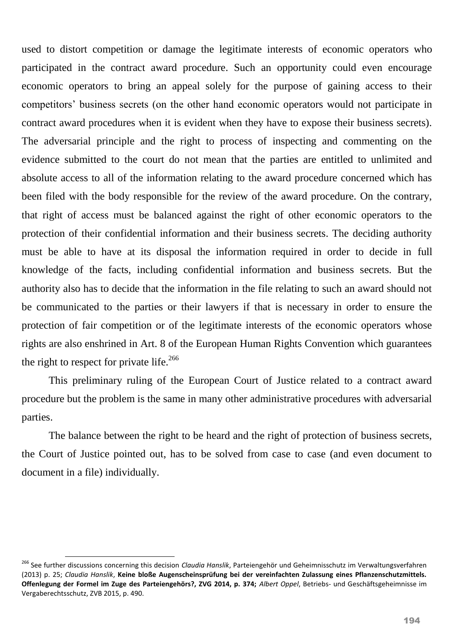used to distort competition or damage the legitimate interests of economic operators who participated in the contract award procedure. Such an opportunity could even encourage economic operators to bring an appeal solely for the purpose of gaining access to their competitors' business secrets (on the other hand economic operators would not participate in contract award procedures when it is evident when they have to expose their business secrets). The adversarial principle and the right to process of inspecting and commenting on the evidence submitted to the court do not mean that the parties are entitled to unlimited and absolute access to all of the information relating to the award procedure concerned which has been filed with the body responsible for the review of the award procedure. On the contrary, that right of access must be balanced against the right of other economic operators to the protection of their confidential information and their business secrets. The deciding authority must be able to have at its disposal the information required in order to decide in full knowledge of the facts, including confidential information and business secrets. But the authority also has to decide that the information in the file relating to such an award should not be communicated to the parties or their lawyers if that is necessary in order to ensure the protection of fair competition or of the legitimate interests of the economic operators whose rights are also enshrined in Art. 8 of the European Human Rights Convention which guarantees the right to respect for private life.<sup>266</sup>

This preliminary ruling of the European Court of Justice related to a contract award procedure but the problem is the same in many other administrative procedures with adversarial parties.

The balance between the right to be heard and the right of protection of business secrets, the Court of Justice pointed out, has to be solved from case to case (and even document to document in a file) individually.

**.** 

<sup>266</sup> See further discussions concerning this decision *Claudia Hanslik*, Parteiengehör und Geheimnisschutz im Verwaltungsverfahren (2013) p. 25; *Claudia Hanslik*, **Keine bloße Augenscheinsprüfung bei der vereinfachten Zulassung eines Pflanzenschutzmittels. Offenlegung der Formel im Zuge des Parteiengehörs?, ZVG 2014, p. 374;** *Albert Oppel*, Betriebs- und Geschäftsgeheimnisse im Vergaberechtsschutz, ZVB 2015, p. 490.